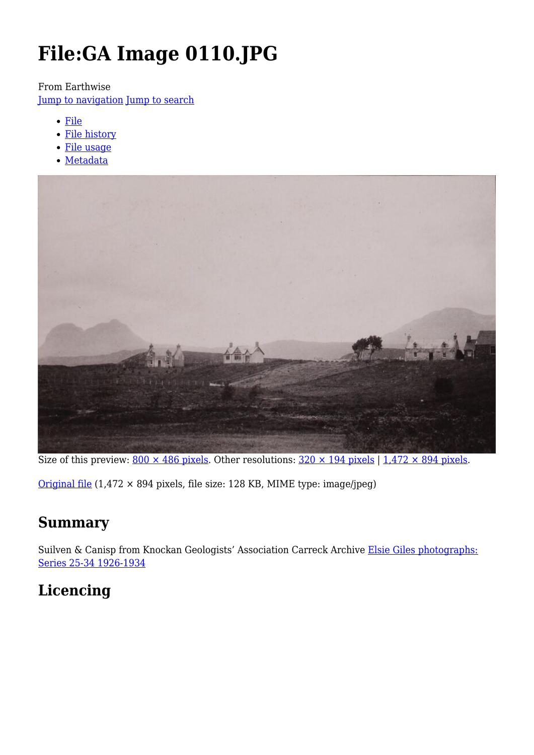# **File:GA Image 0110.JPG**

From Earthwise

[Jump to navigation](#page--1-0) [Jump to search](#page--1-0)

- [File](#page--1-0)
- [File history](#page--1-0)
- [File usage](#page--1-0)
- [Metadata](#page--1-0)



Size of this preview:  $800 \times 486$  pixels. Other resolutions:  $320 \times 194$  pixels |  $1,472 \times 894$  pixels.

[Original file](http://earthwise.bgs.ac.uk/images/b/ba/GA_Image_0110.JPG) (1,472 × 894 pixels, file size: 128 KB, MIME type: image/jpeg)

# **Summary**

Suilven & Canisp from Knockan Geologists' Association Carreck Archive [Elsie Giles photographs:](http://pubs.bgs.ac.uk/publications.html?pubID=GA148#v=d&z=2&n=5&i=GA148_0038.jp2&y=366&x=358) [Series 25-34 1926-1934](http://pubs.bgs.ac.uk/publications.html?pubID=GA148#v=d&z=2&n=5&i=GA148_0038.jp2&y=366&x=358)

# **Licencing**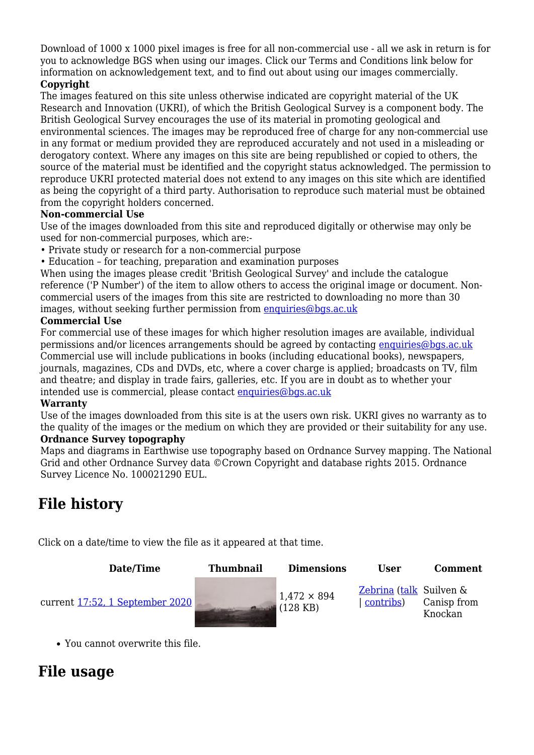Download of 1000 x 1000 pixel images is free for all non-commercial use - all we ask in return is for you to acknowledge BGS when using our images. Click our Terms and Conditions link below for information on acknowledgement text, and to find out about using our images commercially.

#### **Copyright**

The images featured on this site unless otherwise indicated are copyright material of the UK Research and Innovation (UKRI), of which the British Geological Survey is a component body. The British Geological Survey encourages the use of its material in promoting geological and environmental sciences. The images may be reproduced free of charge for any non-commercial use in any format or medium provided they are reproduced accurately and not used in a misleading or derogatory context. Where any images on this site are being republished or copied to others, the source of the material must be identified and the copyright status acknowledged. The permission to reproduce UKRI protected material does not extend to any images on this site which are identified as being the copyright of a third party. Authorisation to reproduce such material must be obtained from the copyright holders concerned.

#### **Non-commercial Use**

Use of the images downloaded from this site and reproduced digitally or otherwise may only be used for non-commercial purposes, which are:-

- Private study or research for a non-commercial purpose
- Education for teaching, preparation and examination purposes

When using the images please credit 'British Geological Survey' and include the catalogue reference ('P Number') of the item to allow others to access the original image or document. Noncommercial users of the images from this site are restricted to downloading no more than 30 images, without seeking further permission from [enquiries@bgs.ac.uk](mailto:enquiries@bgs.ac.uk)

#### **Commercial Use**

For commercial use of these images for which higher resolution images are available, individual permissions and/or licences arrangements should be agreed by contacting [enquiries@bgs.ac.uk](mailto:enquiries@bgs.ac.uk) Commercial use will include publications in books (including educational books), newspapers, journals, magazines, CDs and DVDs, etc, where a cover charge is applied; broadcasts on TV, film and theatre; and display in trade fairs, galleries, etc. If you are in doubt as to whether your intended use is commercial, please contact [enquiries@bgs.ac.uk](mailto:enquiries@bgs.ac.uk)

#### **Warranty**

Use of the images downloaded from this site is at the users own risk. UKRI gives no warranty as to the quality of the images or the medium on which they are provided or their suitability for any use. **Ordnance Survey topography**

Maps and diagrams in Earthwise use topography based on Ordnance Survey mapping. The National Grid and other Ordnance Survey data ©Crown Copyright and database rights 2015. Ordnance Survey Licence No. 100021290 EUL.

# **File history**

Click on a date/time to view the file as it appeared at that time.



You cannot overwrite this file.

# **File usage**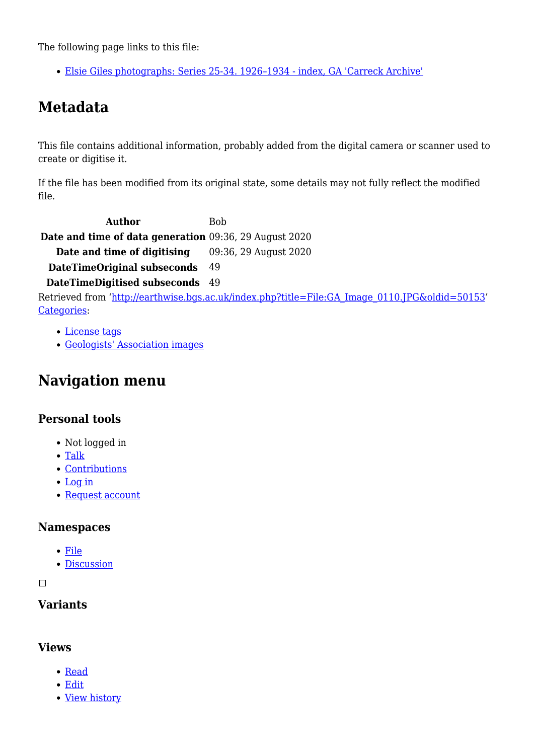The following page links to this file:

[Elsie Giles photographs: Series 25-34. 1926–1934 - index, GA 'Carreck Archive'](http://earthwise.bgs.ac.uk/index.php/Elsie_Giles_photographs:_Series_25-34._1926%E2%80%931934_-_index,_GA_%27Carreck_Archive%27)

# **Metadata**

This file contains additional information, probably added from the digital camera or scanner used to create or digitise it.

If the file has been modified from its original state, some details may not fully reflect the modified file.

Author Bob **Date and time of data generation** 09:36, 29 August 2020 **Date and time of digitising** 09:36, 29 August 2020 **DateTimeOriginal subseconds** 49

**DateTimeDigitised subseconds** 49

Retrieved from ['http://earthwise.bgs.ac.uk/index.php?title=File:GA\\_Image\\_0110.JPG&oldid=50153](http://earthwise.bgs.ac.uk/index.php?title=File:GA_Image_0110.JPG&oldid=50153)' [Categories:](http://earthwise.bgs.ac.uk/index.php/Special:Categories)

- [License tags](http://earthwise.bgs.ac.uk/index.php/Category:License_tags)
- [Geologists' Association images](http://earthwise.bgs.ac.uk/index.php/Category:Geologists%27_Association_images)

# **Navigation menu**

## **Personal tools**

- Not logged in
- [Talk](http://earthwise.bgs.ac.uk/index.php/Special:MyTalk)
- [Contributions](http://earthwise.bgs.ac.uk/index.php/Special:MyContributions)
- [Log in](http://earthwise.bgs.ac.uk/index.php?title=Special:UserLogin&returnto=File%3AGA+Image+0110.JPG&returntoquery=action%3Dmpdf)
- [Request account](http://earthwise.bgs.ac.uk/index.php/Special:RequestAccount)

#### **Namespaces**

- [File](http://earthwise.bgs.ac.uk/index.php/File:GA_Image_0110.JPG)
- [Discussion](http://earthwise.bgs.ac.uk/index.php?title=File_talk:GA_Image_0110.JPG&action=edit&redlink=1)

 $\Box$ 

# **Variants**

## **Views**

- [Read](http://earthwise.bgs.ac.uk/index.php/File:GA_Image_0110.JPG)
- [Edit](http://earthwise.bgs.ac.uk/index.php?title=File:GA_Image_0110.JPG&action=edit)
- [View history](http://earthwise.bgs.ac.uk/index.php?title=File:GA_Image_0110.JPG&action=history)